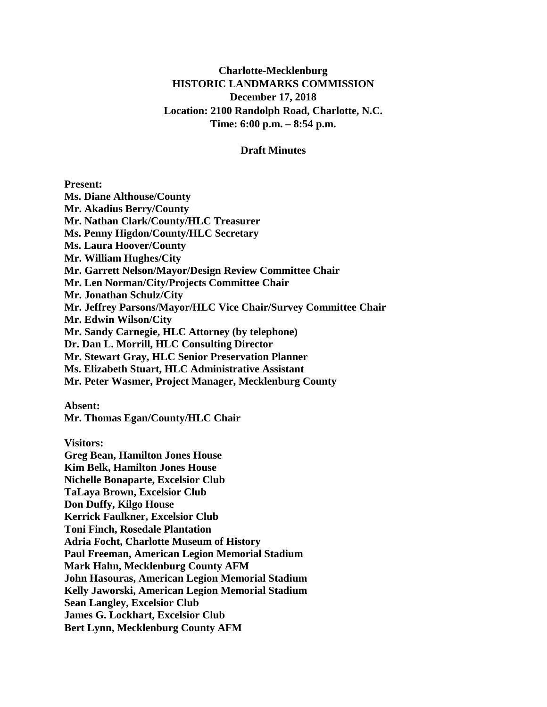### **Charlotte-Mecklenburg HISTORIC LANDMARKS COMMISSION December 17, 2018 Location: 2100 Randolph Road, Charlotte, N.C. Time: 6:00 p.m. – 8:54 p.m.**

#### **Draft Minutes**

#### **Present:**

**Ms. Diane Althouse/County Mr. Akadius Berry/County Mr. Nathan Clark/County/HLC Treasurer Ms. Penny Higdon/County/HLC Secretary Ms. Laura Hoover/County Mr. William Hughes/City Mr. Garrett Nelson/Mayor/Design Review Committee Chair Mr. Len Norman/City/Projects Committee Chair Mr. Jonathan Schulz/City Mr. Jeffrey Parsons/Mayor/HLC Vice Chair/Survey Committee Chair Mr. Edwin Wilson/City Mr. Sandy Carnegie, HLC Attorney (by telephone) Dr. Dan L. Morrill, HLC Consulting Director Mr. Stewart Gray, HLC Senior Preservation Planner Ms. Elizabeth Stuart, HLC Administrative Assistant Mr. Peter Wasmer, Project Manager, Mecklenburg County**

**Absent:**

**Mr. Thomas Egan/County/HLC Chair** 

**Visitors:**

**Greg Bean, Hamilton Jones House Kim Belk, Hamilton Jones House Nichelle Bonaparte, Excelsior Club TaLaya Brown, Excelsior Club Don Duffy, Kilgo House Kerrick Faulkner, Excelsior Club Toni Finch, Rosedale Plantation Adria Focht, Charlotte Museum of History Paul Freeman, American Legion Memorial Stadium Mark Hahn, Mecklenburg County AFM John Hasouras, American Legion Memorial Stadium Kelly Jaworski, American Legion Memorial Stadium Sean Langley, Excelsior Club James G. Lockhart, Excelsior Club Bert Lynn, Mecklenburg County AFM**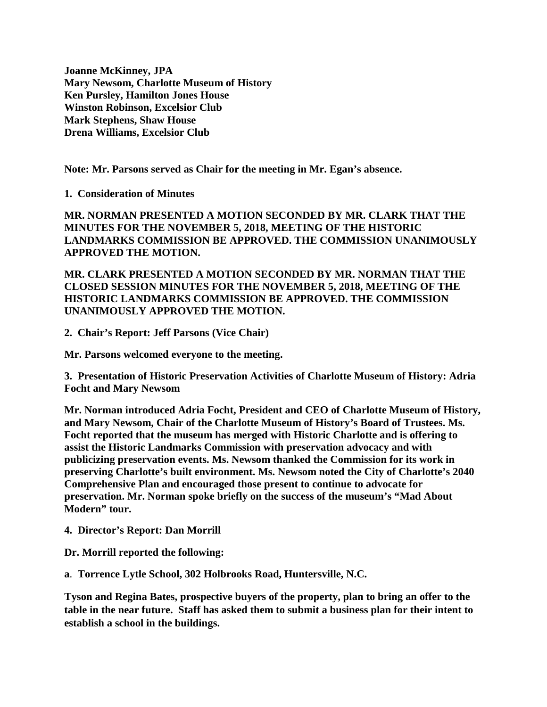**Joanne McKinney, JPA Mary Newsom, Charlotte Museum of History Ken Pursley, Hamilton Jones House Winston Robinson, Excelsior Club Mark Stephens, Shaw House Drena Williams, Excelsior Club**

**Note: Mr. Parsons served as Chair for the meeting in Mr. Egan's absence.** 

**1. Consideration of Minutes**

**MR. NORMAN PRESENTED A MOTION SECONDED BY MR. CLARK THAT THE MINUTES FOR THE NOVEMBER 5, 2018, MEETING OF THE HISTORIC LANDMARKS COMMISSION BE APPROVED. THE COMMISSION UNANIMOUSLY APPROVED THE MOTION.**

**MR. CLARK PRESENTED A MOTION SECONDED BY MR. NORMAN THAT THE CLOSED SESSION MINUTES FOR THE NOVEMBER 5, 2018, MEETING OF THE HISTORIC LANDMARKS COMMISSION BE APPROVED. THE COMMISSION UNANIMOUSLY APPROVED THE MOTION.**

**2. Chair's Report: Jeff Parsons (Vice Chair)**

**Mr. Parsons welcomed everyone to the meeting.**

**3. Presentation of Historic Preservation Activities of Charlotte Museum of History: Adria Focht and Mary Newsom**

**Mr. Norman introduced Adria Focht, President and CEO of Charlotte Museum of History, and Mary Newsom, Chair of the Charlotte Museum of History's Board of Trustees. Ms. Focht reported that the museum has merged with Historic Charlotte and is offering to assist the Historic Landmarks Commission with preservation advocacy and with publicizing preservation events. Ms. Newsom thanked the Commission for its work in preserving Charlotte's built environment. Ms. Newsom noted the City of Charlotte's 2040 Comprehensive Plan and encouraged those present to continue to advocate for preservation. Mr. Norman spoke briefly on the success of the museum's "Mad About Modern" tour.**

**4. Director's Report: Dan Morrill**

**Dr. Morrill reported the following:**

**a**. **Torrence Lytle School, 302 Holbrooks Road, Huntersville, N.C.**

**Tyson and Regina Bates, prospective buyers of the property, plan to bring an offer to the table in the near future. Staff has asked them to submit a business plan for their intent to establish a school in the buildings.**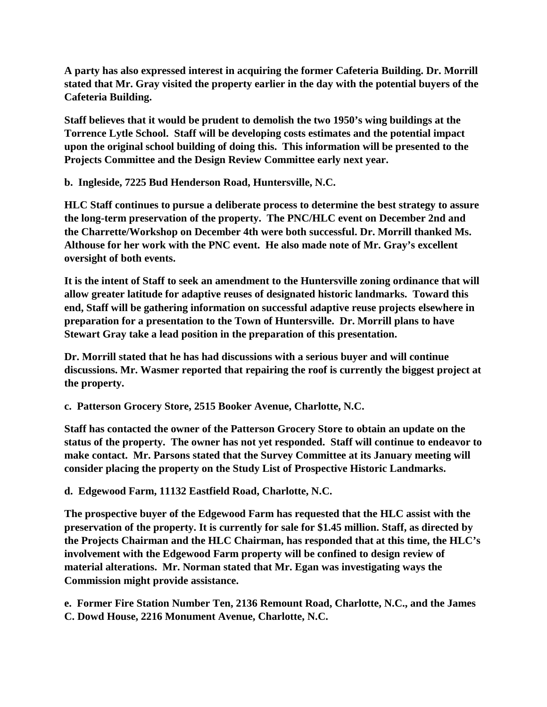**A party has also expressed interest in acquiring the former Cafeteria Building. Dr. Morrill stated that Mr. Gray visited the property earlier in the day with the potential buyers of the Cafeteria Building.**

**Staff believes that it would be prudent to demolish the two 1950's wing buildings at the Torrence Lytle School. Staff will be developing costs estimates and the potential impact upon the original school building of doing this. This information will be presented to the Projects Committee and the Design Review Committee early next year.**

**b. Ingleside, 7225 Bud Henderson Road, Huntersville, N.C.**

**HLC Staff continues to pursue a deliberate process to determine the best strategy to assure the long-term preservation of the property. The PNC/HLC event on December 2nd and the Charrette/Workshop on December 4th were both successful. Dr. Morrill thanked Ms. Althouse for her work with the PNC event. He also made note of Mr. Gray's excellent oversight of both events.**

**It is the intent of Staff to seek an amendment to the Huntersville zoning ordinance that will allow greater latitude for adaptive reuses of designated historic landmarks. Toward this end, Staff will be gathering information on successful adaptive reuse projects elsewhere in preparation for a presentation to the Town of Huntersville. Dr. Morrill plans to have Stewart Gray take a lead position in the preparation of this presentation.**

**Dr. Morrill stated that he has had discussions with a serious buyer and will continue discussions. Mr. Wasmer reported that repairing the roof is currently the biggest project at the property.**

**c. Patterson Grocery Store, 2515 Booker Avenue, Charlotte, N.C.**

**Staff has contacted the owner of the Patterson Grocery Store to obtain an update on the status of the property. The owner has not yet responded. Staff will continue to endeavor to make contact. Mr. Parsons stated that the Survey Committee at its January meeting will consider placing the property on the Study List of Prospective Historic Landmarks.**

**d. Edgewood Farm, 11132 Eastfield Road, Charlotte, N.C.**

**The prospective buyer of the Edgewood Farm has requested that the HLC assist with the preservation of the property. It is currently for sale for \$1.45 million. Staff, as directed by the Projects Chairman and the HLC Chairman, has responded that at this time, the HLC's involvement with the Edgewood Farm property will be confined to design review of material alterations. Mr. Norman stated that Mr. Egan was investigating ways the Commission might provide assistance.**

**e. Former Fire Station Number Ten, 2136 Remount Road, Charlotte, N.C., and the James C. Dowd House, 2216 Monument Avenue, Charlotte, N.C.**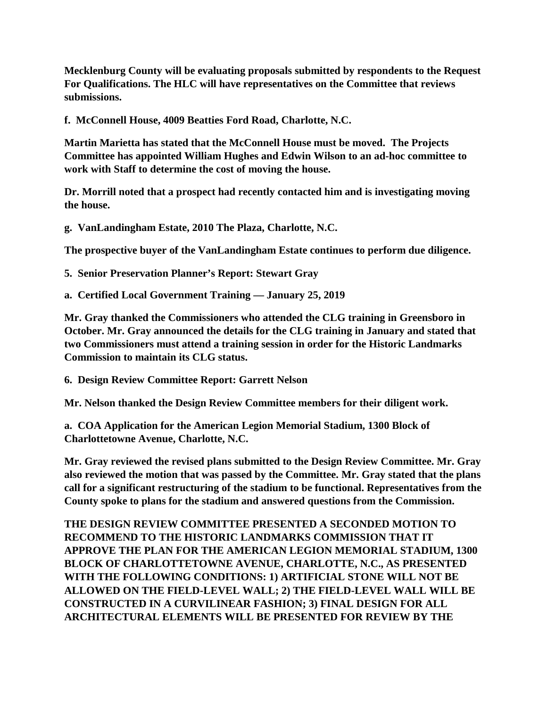**Mecklenburg County will be evaluating proposals submitted by respondents to the Request For Qualifications. The HLC will have representatives on the Committee that reviews submissions.**

**f. McConnell House, 4009 Beatties Ford Road, Charlotte, N.C.** 

**Martin Marietta has stated that the McConnell House must be moved. The Projects Committee has appointed William Hughes and Edwin Wilson to an ad-hoc committee to work with Staff to determine the cost of moving the house.**

**Dr. Morrill noted that a prospect had recently contacted him and is investigating moving the house.**

**g. VanLandingham Estate, 2010 The Plaza, Charlotte, N.C.**

**The prospective buyer of the VanLandingham Estate continues to perform due diligence.**

**5. Senior Preservation Planner's Report: Stewart Gray**

**a. Certified Local Government Training — January 25, 2019** 

**Mr. Gray thanked the Commissioners who attended the CLG training in Greensboro in October. Mr. Gray announced the details for the CLG training in January and stated that two Commissioners must attend a training session in order for the Historic Landmarks Commission to maintain its CLG status.** 

**6. Design Review Committee Report: Garrett Nelson**

**Mr. Nelson thanked the Design Review Committee members for their diligent work.** 

**a. COA Application for the American Legion Memorial Stadium, 1300 Block of Charlottetowne Avenue, Charlotte, N.C.**

**Mr. Gray reviewed the revised plans submitted to the Design Review Committee. Mr. Gray also reviewed the motion that was passed by the Committee. Mr. Gray stated that the plans call for a significant restructuring of the stadium to be functional. Representatives from the County spoke to plans for the stadium and answered questions from the Commission.**

**THE DESIGN REVIEW COMMITTEE PRESENTED A SECONDED MOTION TO RECOMMEND TO THE HISTORIC LANDMARKS COMMISSION THAT IT APPROVE THE PLAN FOR THE AMERICAN LEGION MEMORIAL STADIUM, 1300 BLOCK OF CHARLOTTETOWNE AVENUE, CHARLOTTE, N.C., AS PRESENTED WITH THE FOLLOWING CONDITIONS: 1) ARTIFICIAL STONE WILL NOT BE ALLOWED ON THE FIELD-LEVEL WALL; 2) THE FIELD-LEVEL WALL WILL BE CONSTRUCTED IN A CURVILINEAR FASHION; 3) FINAL DESIGN FOR ALL ARCHITECTURAL ELEMENTS WILL BE PRESENTED FOR REVIEW BY THE**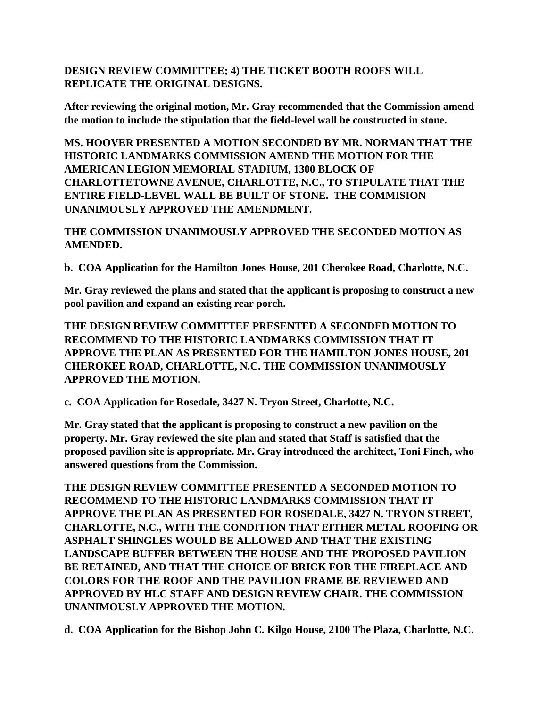## **DESIGN REVIEW COMMITTEE; 4) THE TICKET BOOTH ROOFS WILL REPLICATE THE ORIGINAL DESIGNS.**

**After reviewing the original motion, Mr. Gray recommended that the Commission amend the motion to include the stipulation that the field-level wall be constructed in stone.**

**MS. HOOVER PRESENTED A MOTION SECONDED BY MR. NORMAN THAT THE HISTORIC LANDMARKS COMMISSION AMEND THE MOTION FOR THE AMERICAN LEGION MEMORIAL STADIUM, 1300 BLOCK OF CHARLOTTETOWNE AVENUE, CHARLOTTE, N.C., TO STIPULATE THAT THE ENTIRE FIELD-LEVEL WALL BE BUILT OF STONE. THE COMMISION UNANIMOUSLY APPROVED THE AMENDMENT.**

**THE COMMISSION UNANIMOUSLY APPROVED THE SECONDED MOTION AS AMENDED.**

**b. COA Application for the Hamilton Jones House, 201 Cherokee Road, Charlotte, N.C.**

**Mr. Gray reviewed the plans and stated that the applicant is proposing to construct a new pool pavilion and expand an existing rear porch.** 

**THE DESIGN REVIEW COMMITTEE PRESENTED A SECONDED MOTION TO RECOMMEND TO THE HISTORIC LANDMARKS COMMISSION THAT IT APPROVE THE PLAN AS PRESENTED FOR THE HAMILTON JONES HOUSE, 201 CHEROKEE ROAD, CHARLOTTE, N.C. THE COMMISSION UNANIMOUSLY APPROVED THE MOTION.**

**c. COA Application for Rosedale, 3427 N. Tryon Street, Charlotte, N.C.**

**Mr. Gray stated that the applicant is proposing to construct a new pavilion on the property. Mr. Gray reviewed the site plan and stated that Staff is satisfied that the proposed pavilion site is appropriate. Mr. Gray introduced the architect, Toni Finch, who answered questions from the Commission.** 

**THE DESIGN REVIEW COMMITTEE PRESENTED A SECONDED MOTION TO RECOMMEND TO THE HISTORIC LANDMARKS COMMISSION THAT IT APPROVE THE PLAN AS PRESENTED FOR ROSEDALE, 3427 N. TRYON STREET, CHARLOTTE, N.C., WITH THE CONDITION THAT EITHER METAL ROOFING OR ASPHALT SHINGLES WOULD BE ALLOWED AND THAT THE EXISTING LANDSCAPE BUFFER BETWEEN THE HOUSE AND THE PROPOSED PAVILION BE RETAINED, AND THAT THE CHOICE OF BRICK FOR THE FIREPLACE AND COLORS FOR THE ROOF AND THE PAVILION FRAME BE REVIEWED AND APPROVED BY HLC STAFF AND DESIGN REVIEW CHAIR. THE COMMISSION UNANIMOUSLY APPROVED THE MOTION.**

**d. COA Application for the Bishop John C. Kilgo House, 2100 The Plaza, Charlotte, N.C.**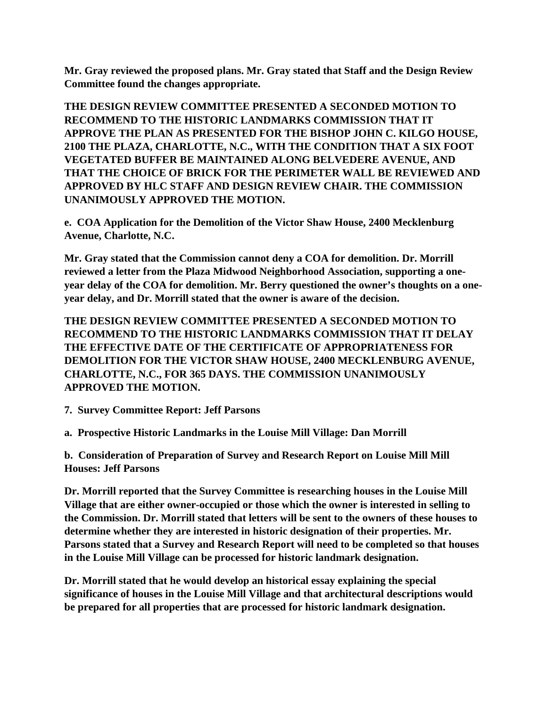**Mr. Gray reviewed the proposed plans. Mr. Gray stated that Staff and the Design Review Committee found the changes appropriate.** 

**THE DESIGN REVIEW COMMITTEE PRESENTED A SECONDED MOTION TO RECOMMEND TO THE HISTORIC LANDMARKS COMMISSION THAT IT APPROVE THE PLAN AS PRESENTED FOR THE BISHOP JOHN C. KILGO HOUSE, 2100 THE PLAZA, CHARLOTTE, N.C., WITH THE CONDITION THAT A SIX FOOT VEGETATED BUFFER BE MAINTAINED ALONG BELVEDERE AVENUE, AND THAT THE CHOICE OF BRICK FOR THE PERIMETER WALL BE REVIEWED AND APPROVED BY HLC STAFF AND DESIGN REVIEW CHAIR. THE COMMISSION UNANIMOUSLY APPROVED THE MOTION.**

**e. COA Application for the Demolition of the Victor Shaw House, 2400 Mecklenburg Avenue, Charlotte, N.C.**

**Mr. Gray stated that the Commission cannot deny a COA for demolition. Dr. Morrill reviewed a letter from the Plaza Midwood Neighborhood Association, supporting a oneyear delay of the COA for demolition. Mr. Berry questioned the owner's thoughts on a oneyear delay, and Dr. Morrill stated that the owner is aware of the decision.** 

**THE DESIGN REVIEW COMMITTEE PRESENTED A SECONDED MOTION TO RECOMMEND TO THE HISTORIC LANDMARKS COMMISSION THAT IT DELAY THE EFFECTIVE DATE OF THE CERTIFICATE OF APPROPRIATENESS FOR DEMOLITION FOR THE VICTOR SHAW HOUSE, 2400 MECKLENBURG AVENUE, CHARLOTTE, N.C., FOR 365 DAYS. THE COMMISSION UNANIMOUSLY APPROVED THE MOTION.**

**7. Survey Committee Report: Jeff Parsons**

**a. Prospective Historic Landmarks in the Louise Mill Village: Dan Morrill**

**b. Consideration of Preparation of Survey and Research Report on Louise Mill Mill Houses: Jeff Parsons**

**Dr. Morrill reported that the Survey Committee is researching houses in the Louise Mill Village that are either owner-occupied or those which the owner is interested in selling to the Commission. Dr. Morrill stated that letters will be sent to the owners of these houses to determine whether they are interested in historic designation of their properties. Mr. Parsons stated that a Survey and Research Report will need to be completed so that houses in the Louise Mill Village can be processed for historic landmark designation.**

**Dr. Morrill stated that he would develop an historical essay explaining the special significance of houses in the Louise Mill Village and that architectural descriptions would be prepared for all properties that are processed for historic landmark designation.**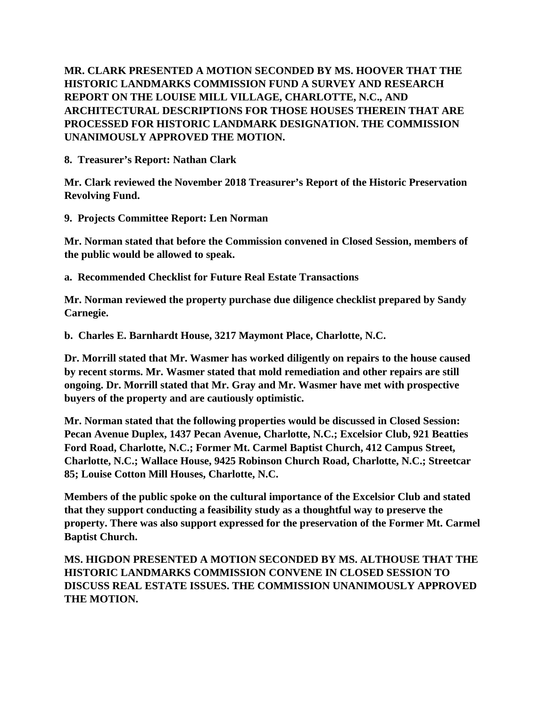**MR. CLARK PRESENTED A MOTION SECONDED BY MS. HOOVER THAT THE HISTORIC LANDMARKS COMMISSION FUND A SURVEY AND RESEARCH REPORT ON THE LOUISE MILL VILLAGE, CHARLOTTE, N.C., AND ARCHITECTURAL DESCRIPTIONS FOR THOSE HOUSES THEREIN THAT ARE PROCESSED FOR HISTORIC LANDMARK DESIGNATION. THE COMMISSION UNANIMOUSLY APPROVED THE MOTION.**

**8. Treasurer's Report: Nathan Clark** 

**Mr. Clark reviewed the November 2018 Treasurer's Report of the Historic Preservation Revolving Fund.**

**9. Projects Committee Report: Len Norman** 

**Mr. Norman stated that before the Commission convened in Closed Session, members of the public would be allowed to speak.**

**a. Recommended Checklist for Future Real Estate Transactions**

**Mr. Norman reviewed the property purchase due diligence checklist prepared by Sandy Carnegie.**

**b. Charles E. Barnhardt House, 3217 Maymont Place, Charlotte, N.C.**

**Dr. Morrill stated that Mr. Wasmer has worked diligently on repairs to the house caused by recent storms. Mr. Wasmer stated that mold remediation and other repairs are still ongoing. Dr. Morrill stated that Mr. Gray and Mr. Wasmer have met with prospective buyers of the property and are cautiously optimistic.** 

**Mr. Norman stated that the following properties would be discussed in Closed Session: Pecan Avenue Duplex, 1437 Pecan Avenue, Charlotte, N.C.; Excelsior Club, 921 Beatties Ford Road, Charlotte, N.C.; Former Mt. Carmel Baptist Church, 412 Campus Street, Charlotte, N.C.; Wallace House, 9425 Robinson Church Road, Charlotte, N.C.; Streetcar 85; Louise Cotton Mill Houses, Charlotte, N.C.**

**Members of the public spoke on the cultural importance of the Excelsior Club and stated that they support conducting a feasibility study as a thoughtful way to preserve the property. There was also support expressed for the preservation of the Former Mt. Carmel Baptist Church.**

**MS. HIGDON PRESENTED A MOTION SECONDED BY MS. ALTHOUSE THAT THE HISTORIC LANDMARKS COMMISSION CONVENE IN CLOSED SESSION TO DISCUSS REAL ESTATE ISSUES. THE COMMISSION UNANIMOUSLY APPROVED THE MOTION.**